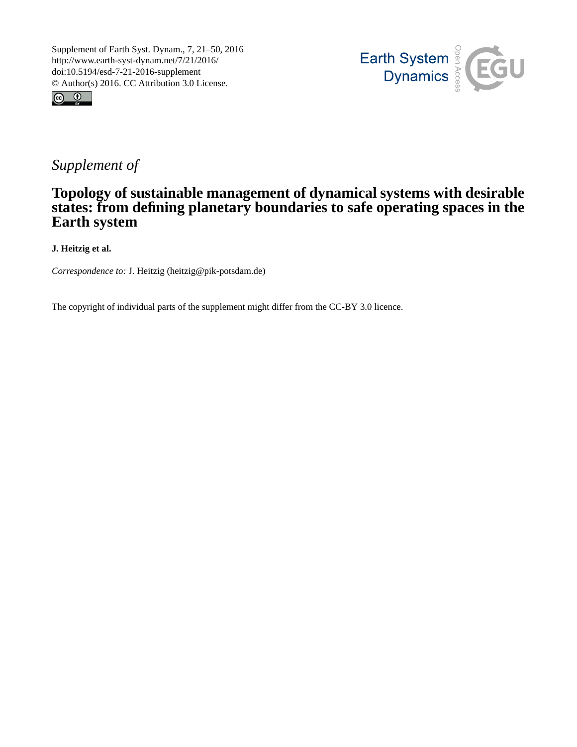



# *Supplement of*

### **Topology of sustainable management of dynamical systems with desirable states: from defining planetary boundaries to safe operating spaces in the Earth system**

**J. Heitzig et al.**

*Correspondence to:* J. Heitzig (heitzig@pik-potsdam.de)

The copyright of individual parts of the supplement might differ from the CC-BY 3.0 licence.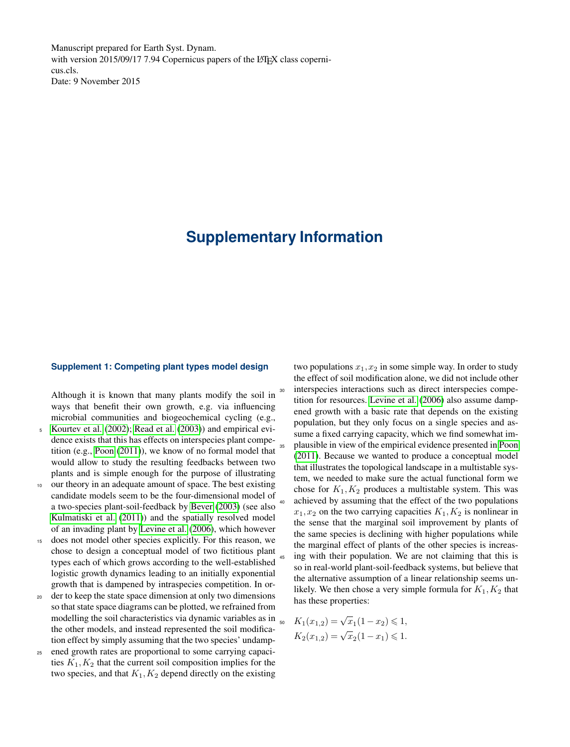Manuscript prepared for Earth Syst. Dynam. with version 2015/09/17 7.94 Copernicus papers of the LATEX class copernicus.cls. Date: 9 November 2015

## **Supplementary Information**

#### **Supplement 1: Competing plant types model design**

Although it is known that many plants modify the soil in ways that benefit their own growth, e.g. via influencing microbial communities and biogeochemical cycling (e.g.,

- <sup>5</sup> [Kourtev et al.](#page-3-0) [\(2002\)](#page-3-0); [Read et al.](#page-3-1) [\(2003\)](#page-3-1)) and empirical evidence exists that this has effects on interspecies plant competition (e.g., [Poon](#page-3-2) [\(2011\)](#page-3-2)), we know of no formal model that would allow to study the resulting feedbacks between two plants and is simple enough for the purpose of illustrating
- <sup>10</sup> our theory in an adequate amount of space. The best existing candidate models seem to be the four-dimensional model of a two-species plant-soil-feedback by [Bever](#page-3-3) [\(2003\)](#page-3-3) (see also [Kulmatiski et al.](#page-3-4) [\(2011\)](#page-3-4)) and the spatially resolved model of an invading plant by [Levine et al.](#page-3-5) [\(2006\)](#page-3-5), which however
- does not model other species explicitly. For this reason, we chose to design a conceptual model of two fictitious plant types each of which grows according to the well-established logistic growth dynamics leading to an initially exponential growth that is dampened by intraspecies competition. In or-
- <sup>20</sup> der to keep the state space dimension at only two dimensions so that state space diagrams can be plotted, we refrained from modelling the soil characteristics via dynamic variables as in the other models, and instead represented the soil modification effect by simply assuming that the two species' undamp-
- <sup>25</sup> ened growth rates are proportional to some carrying capacities  $K_1, K_2$  that the current soil composition implies for the two species, and that  $K_1, K_2$  depend directly on the existing

two populations  $x_1, x_2$  in some simple way. In order to study the effect of soil modification alone, we did not include other interspecies interactions such as direct interspecies competition for resources. [Levine et al.](#page-3-5) [\(2006\)](#page-3-5) also assume dampened growth with a basic rate that depends on the existing population, but they only focus on a single species and assume a fixed carrying capacity, which we find somewhat im-<sup>35</sup> plausible in view of the empirical evidence presented in [Poon](#page-3-2) [\(2011\)](#page-3-2). Because we wanted to produce a conceptual model that illustrates the topological landscape in a multistable system, we needed to make sure the actual functional form we chose for  $K_1, K_2$  produces a multistable system. This was <sup>40</sup> achieved by assuming that the effect of the two populations  $x_1, x_2$  on the two carrying capacities  $K_1, K_2$  is nonlinear in the sense that the marginal soil improvement by plants of the same species is declining with higher populations while the marginal effect of plants of the other species is increasing with their population. We are not claiming that this is so in real-world plant-soil-feedback systems, but believe that the alternative assumption of a linear relationship seems unlikely. We then chose a very simple formula for  $K_1, K_2$  that has these properties:

$$
K_1(x_{1,2}) = \sqrt{x_1(1-x_2)} \le 1,
$$
  

$$
K_2(x_{1,2}) = \sqrt{x_2(1-x_1)} \le 1.
$$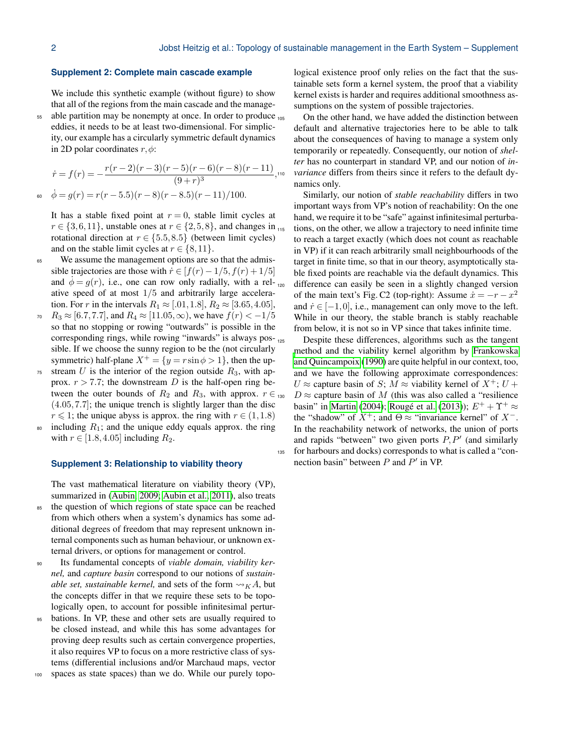#### **Supplement 2: Complete main cascade example**

We include this synthetic example (without figure) to show that all of the regions from the main cascade and the manage-55 able partition may be nonempty at once. In order to produce 105 eddies, it needs to be at least two-dimensional. For simplic-

ity, our example has a circularly symmetric default dynamics in 2D polar coordinates  $r, \phi$ :

$$
\dot{r} = f(r) = -\frac{r(r-2)(r-3)(r-5)(r-6)(r-8)(r-11)}{(9+r)^3},
$$
  
\n
$$
\dot{\phi} = g(r) = r(r-5.5)(r-8)(r-8.5)(r-11)/100.
$$

It has a stable fixed point at  $r = 0$ , stable limit cycles at  $r \in \{3, 6, 11\}$ , unstable ones at  $r \in \{2, 5, 8\}$ , and changes in  $_{115}$ rotational direction at  $r \in \{5.5, 8.5\}$  (between limit cycles) and on the stable limit cycles at  $r \in \{8, 11\}$ .

- <sup>65</sup> We assume the management options are so that the admissible trajectories are those with  $\dot{r} \in [f(r) - 1/5, f(r) + 1/5]$ and  $\phi = g(r)$ , i.e., one can row only radially, with a relative speed of at most  $1/5$  and arbitrarily large acceleration. For r in the intervals  $R_1 \approx [.01, 1.8], R_2 \approx [3.65, 4.05],$
- $R_3 \approx [6.7, 7.7]$ , and  $R_4 \approx [11.05, \infty)$ , we have  $f(r) < -1/5$ so that no stopping or rowing "outwards" is possible in the corresponding rings, while rowing "inwards" is always possible. If we choose the sunny region to be the (not circularly symmetric) half-plane  $X^+ = \{y = r \sin \phi > 1\}$ , then the up-
- $75$  stream U is the interior of the region outside  $R_3$ , with approx.  $r > 7.7$ ; the downstream D is the half-open ring between the outer bounds of  $R_2$  and  $R_3$ , with approx.  $r \in R_3$ (4.05,7.7]; the unique trench is slightly larger than the disc  $r \leq 1$ ; the unique abyss is approx. the ring with  $r \in (1,1.8)$
- $\frac{1}{80}$  including  $R_1$ ; and the unique eddy equals approx. the ring with  $r \in [1.8, 4.05]$  including  $R_2$ .

#### **Supplement 3: Relationship to viability theory**

The vast mathematical literature on viability theory (VP), summarized in [\(Aubin, 2009;](#page-3-6) [Aubin et al., 2011\)](#page-3-7), also treats

- <sup>85</sup> the question of which regions of state space can be reached from which others when a system's dynamics has some additional degrees of freedom that may represent unknown internal components such as human behaviour, or unknown external drivers, or options for management or control.
- Its fundamental concepts of *viable domain, viability kernel,* and *capture basin* correspond to our notions of *sustainable set, sustainable kernel,* and sets of the form  $\rightsquigarrow_K A$ , but the concepts differ in that we require these sets to be topologically open, to account for possible infinitesimal pertur-
- bations. In VP, these and other sets are usually required to be closed instead, and while this has some advantages for proving deep results such as certain convergence properties, it also requires VP to focus on a more restrictive class of systems (differential inclusions and/or Marchaud maps, vector
- <sup>100</sup> spaces as state spaces) than we do. While our purely topo-

logical existence proof only relies on the fact that the sustainable sets form a kernel system, the proof that a viability kernel exists is harder and requires additional smoothness assumptions on the system of possible trajectories.

On the other hand, we have added the distinction between default and alternative trajectories here to be able to talk about the consequences of having to manage a system only temporarily or repeatedly. Consequently, our notion of *shelter* has no counterpart in standard VP, and our notion of *in-*<sup>10</sup> *variance* differs from theirs since it refers to the default dynamics only.

Similarly, our notion of *stable reachability* differs in two important ways from VP's notion of reachability: On the one hand, we require it to be "safe" against infinitesimal perturbations, on the other, we allow a trajectory to need infinite time to reach a target exactly (which does not count as reachable in VP) if it can reach arbitrarily small neighbourhoods of the target in finite time, so that in our theory, asymptotically stable fixed points are reachable via the default dynamics. This difference can easily be seen in a slightly changed version of the main text's Fig. C2 (top-right): Assume  $\dot{x} = -r - x^2$ and  $\dot{r} \in [-1,0]$ , i.e., management can only move to the left. While in our theory, the stable branch is stably reachable from below, it is not so in VP since that takes infinite time.

Despite these differences, algorithms such as the tangent [m](#page-3-8)ethod and the viability kernel algorithm by [Frankowska](#page-3-8) [and Quincampoix](#page-3-8) [\(1990\)](#page-3-8) are quite helpful in our context, too, and we have the following approximate correspondences: U  $\approx$  capture basin of S; M  $\approx$  viability kernel of  $X^+$ ; U +  $D \approx$  capture basin of M (this was also called a "resilience" basin" in [Martin](#page-3-9) [\(2004\)](#page-3-9); [Rougé et al.](#page-3-10) [\(2013\)](#page-3-10));  $E^+ + \Upsilon^+ \approx$ the "shadow" of  $X^+$ ; and  $\Theta \approx$  "invariance kernel" of  $X^-$ . In the reachability network of networks, the union of ports and rapids "between" two given ports  $P, P'$  (and similarly <sup>135</sup> for harbours and docks) corresponds to what is called a "connection basin" between  $P$  and  $P'$  in VP.